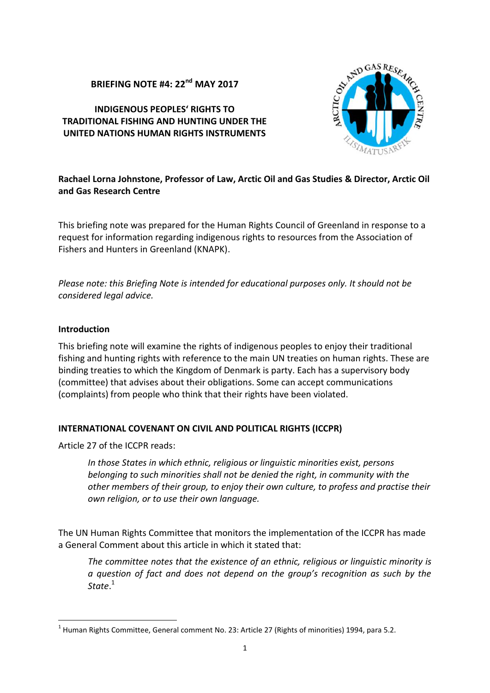# **BRIEFING NOTE #4: 22nd MAY 2017**

#### **INDIGENOUS PEOPLES' RIGHTS TO TRADITIONAL FISHING AND HUNTING UNDER THE UNITED NATIONS HUMAN RIGHTS INSTRUMENTS**



# **Rachael Lorna Johnstone, Professor of Law, Arctic Oil and Gas Studies & Director, Arctic Oil and Gas Research Centre**

This briefing note was prepared for the Human Rights Council of Greenland in response to a request for information regarding indigenous rights to resources from the Association of Fishers and Hunters in Greenland (KNAPK).

*Please note: this Briefing Note is intended for educational purposes only. It should not be considered legal advice.*

#### **Introduction**

This briefing note will examine the rights of indigenous peoples to enjoy their traditional fishing and hunting rights with reference to the main UN treaties on human rights. These are binding treaties to which the Kingdom of Denmark is party. Each has a supervisory body (committee) that advises about their obligations. Some can accept communications (complaints) from people who think that their rights have been violated.

# **INTERNATIONAL COVENANT ON CIVIL AND POLITICAL RIGHTS (ICCPR)**

Article 27 of the ICCPR reads:

*In those States in which ethnic, religious or linguistic minorities exist, persons belonging to such minorities shall not be denied the right, in community with the other members of their group, to enjoy their own culture, to profess and practise their own religion, or to use their own language.*

The UN Human Rights Committee that monitors the implementation of the ICCPR has made a General Comment about this article in which it stated that:

*The committee notes that the existence of an ethnic, religious or linguistic minority is a question of fact and does not depend on the group's recognition as such by the State*.<sup>1</sup>

 $1$  Human Rights Committee, General comment No. 23: Article 27 (Rights of minorities) 1994, para 5.2.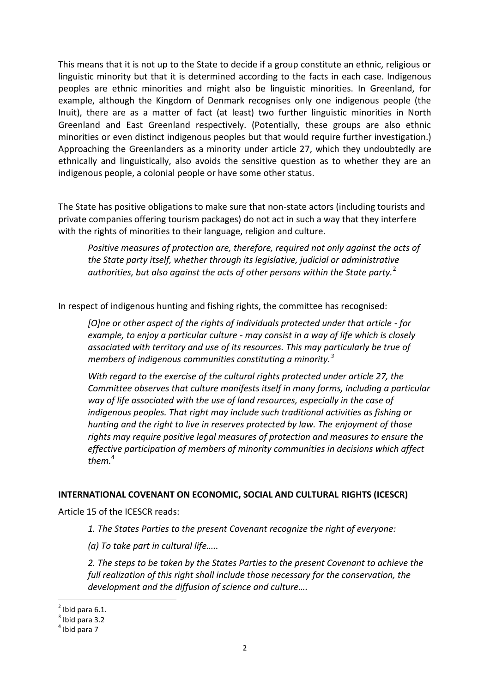This means that it is not up to the State to decide if a group constitute an ethnic, religious or linguistic minority but that it is determined according to the facts in each case. Indigenous peoples are ethnic minorities and might also be linguistic minorities. In Greenland, for example, although the Kingdom of Denmark recognises only one indigenous people (the Inuit), there are as a matter of fact (at least) two further linguistic minorities in North Greenland and East Greenland respectively. (Potentially, these groups are also ethnic minorities or even distinct indigenous peoples but that would require further investigation.) Approaching the Greenlanders as a minority under article 27, which they undoubtedly are ethnically and linguistically, also avoids the sensitive question as to whether they are an indigenous people, a colonial people or have some other status.

The State has positive obligations to make sure that non-state actors (including tourists and private companies offering tourism packages) do not act in such a way that they interfere with the rights of minorities to their language, religion and culture.

*Positive measures of protection are, therefore, required not only against the acts of the State party itself, whether through its legislative, judicial or administrative authorities, but also against the acts of other persons within the State party.*<sup>2</sup>

In respect of indigenous hunting and fishing rights, the committee has recognised:

*[O]ne or other aspect of the rights of individuals protected under that article - for example, to enjoy a particular culture - may consist in a way of life which is closely associated with territory and use of its resources. This may particularly be true of members of indigenous communities constituting a minority.<sup>3</sup>*

*With regard to the exercise of the cultural rights protected under article 27, the Committee observes that culture manifests itself in many forms, including a particular way of life associated with the use of land resources, especially in the case of indigenous peoples. That right may include such traditional activities as fishing or hunting and the right to live in reserves protected by law. The enjoyment of those rights may require positive legal measures of protection and measures to ensure the effective participation of members of minority communities in decisions which affect them.*<sup>4</sup>

# **INTERNATIONAL COVENANT ON ECONOMIC, SOCIAL AND CULTURAL RIGHTS (ICESCR)**

Article 15 of the ICESCR reads:

*1. The States Parties to the present Covenant recognize the right of everyone:*

*(a) To take part in cultural life…..*

*2. The steps to be taken by the States Parties to the present Covenant to achieve the full realization of this right shall include those necessary for the conservation, the development and the diffusion of science and culture….*

 $^2$  Ibid para 6.1.<br> $^3$  Ibid para 2.2.

 $3$  Ibid para 3.2

<sup>4</sup> Ibid para 7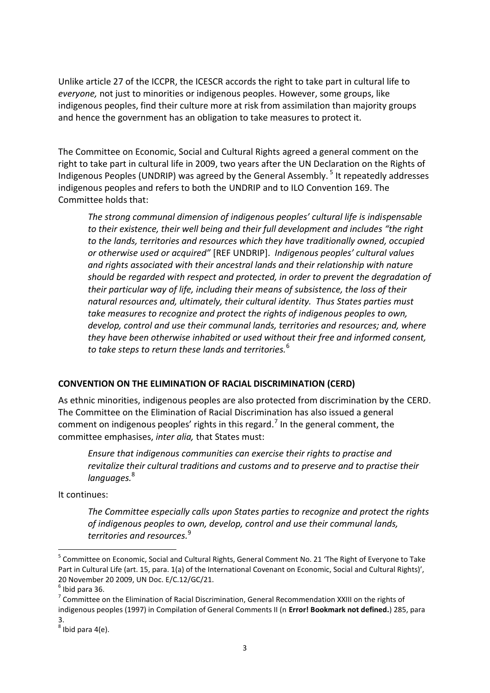Unlike article 27 of the ICCPR, the ICESCR accords the right to take part in cultural life to *everyone,* not just to minorities or indigenous peoples. However, some groups, like indigenous peoples, find their culture more at risk from assimilation than majority groups and hence the government has an obligation to take measures to protect it.

The Committee on Economic, Social and Cultural Rights agreed a general comment on the right to take part in cultural life in 2009, two years after the UN Declaration on the Rights of Indigenous Peoples (UNDRIP) was agreed by the General Assembly. <sup>5</sup> It repeatedly addresses indigenous peoples and refers to both the UNDRIP and to ILO Convention 169. The Committee holds that:

*The strong communal dimension of indigenous peoples' cultural life is indispensable to their existence, their well being and their full development and includes "the right to the lands, territories and resources which they have traditionally owned, occupied or otherwise used or acquired"* [REF UNDRIP]. *Indigenous peoples' cultural values and rights associated with their ancestral lands and their relationship with nature should be regarded with respect and protected, in order to prevent the degradation of their particular way of life, including their means of subsistence, the loss of their natural resources and, ultimately, their cultural identity. Thus States parties must take measures to recognize and protect the rights of indigenous peoples to own, develop, control and use their communal lands, territories and resources; and, where they have been otherwise inhabited or used without their free and informed consent, to take steps to return these lands and territories.*<sup>6</sup>

# **CONVENTION ON THE ELIMINATION OF RACIAL DISCRIMINATION (CERD)**

As ethnic minorities, indigenous peoples are also protected from discrimination by the CERD. The Committee on the Elimination of Racial Discrimination has also issued a general comment on indigenous peoples' rights in this regard.<sup>7</sup> In the general comment, the committee emphasises, *inter alia,* that States must:

*Ensure that indigenous communities can exercise their rights to practise and revitalize their cultural traditions and customs and to preserve and to practise their languages.*<sup>8</sup>

It continues:

*The Committee especially calls upon States parties to recognize and protect the rights of indigenous peoples to own, develop, control and use their communal lands, territories and resources.*<sup>9</sup>

<sup>5</sup> Committee on Economic, Social and Cultural Rights, General Comment No. 21 'The Right of Everyone to Take Part in Cultural Life (art. 15, para. 1(a) of the International Covenant on Economic, Social and Cultural Rights)', 20 November 20 2009, UN Doc. E/C.12/GC/21.<br><sup>6</sup> Ibid para 36.

 $\sigma$  Committee on the Elimination of Racial Discrimination, General Recommendation XXIII on the rights of indigenous peoples (1997) in Compilation of General Comments II (n **Error! Bookmark not defined.**) 285, para 3.<br><sup>8</sup> Ibid para 4(e).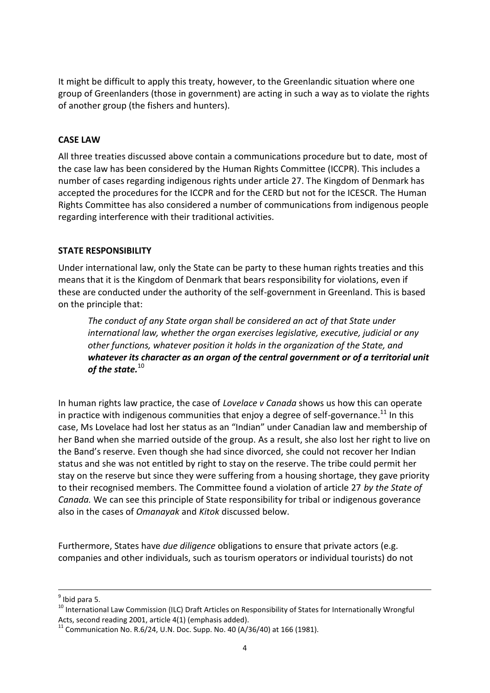It might be difficult to apply this treaty, however, to the Greenlandic situation where one group of Greenlanders (those in government) are acting in such a way as to violate the rights of another group (the fishers and hunters).

## **CASE LAW**

All three treaties discussed above contain a communications procedure but to date, most of the case law has been considered by the Human Rights Committee (ICCPR). This includes a number of cases regarding indigenous rights under article 27. The Kingdom of Denmark has accepted the procedures for the ICCPR and for the CERD but not for the ICESCR. The Human Rights Committee has also considered a number of communications from indigenous people regarding interference with their traditional activities.

#### **STATE RESPONSIBILITY**

Under international law, only the State can be party to these human rights treaties and this means that it is the Kingdom of Denmark that bears responsibility for violations, even if these are conducted under the authority of the self-government in Greenland. This is based on the principle that:

*The conduct of any State organ shall be considered an act of that State under international law, whether the organ exercises legislative, executive, judicial or any other functions, whatever position it holds in the organization of the State, and whatever its character as an organ of the central government or of a territorial unit of the state.*<sup>10</sup>

In human rights law practice, the case of *Lovelace v Canada* shows us how this can operate in practice with indigenous communities that enjoy a degree of self-governance.<sup>11</sup> In this case, Ms Lovelace had lost her status as an "Indian" under Canadian law and membership of her Band when she married outside of the group. As a result, she also lost her right to live on the Band's reserve. Even though she had since divorced, she could not recover her Indian status and she was not entitled by right to stay on the reserve. The tribe could permit her stay on the reserve but since they were suffering from a housing shortage, they gave priority to their recognised members. The Committee found a violation of article 27 *by the State of Canada.* We can see this principle of State responsibility for tribal or indigenous goverance also in the cases of *Omanayak* and *Kitok* discussed below.

Furthermore, States have *due diligence* obligations to ensure that private actors (e.g. companies and other individuals, such as tourism operators or individual tourists) do not

 $9$  Ibid para 5.

<sup>&</sup>lt;sup>10</sup> International Law Commission (ILC) Draft Articles on Responsibility of States for Internationally Wrongful Acts, second reading 2001, article 4(1) (emphasis added).<br><sup>11</sup> Communication No. R.6/24, U.N. Doc. Supp. No. 40 (A/36/40) at 166 (1981).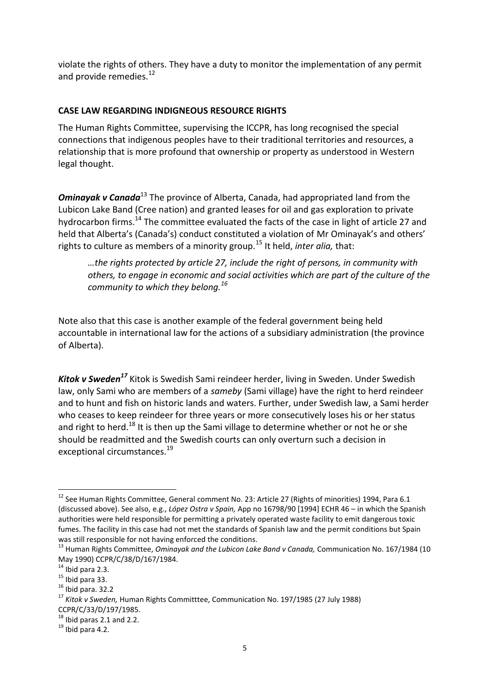violate the rights of others. They have a duty to monitor the implementation of any permit and provide remedies.<sup>12</sup>

## **CASE LAW REGARDING INDIGNEOUS RESOURCE RIGHTS**

The Human Rights Committee, supervising the ICCPR, has long recognised the special connections that indigenous peoples have to their traditional territories and resources, a relationship that is more profound that ownership or property as understood in Western legal thought.

*Ominayak v Canada*<sup>13</sup> The province of Alberta, Canada, had appropriated land from the Lubicon Lake Band (Cree nation) and granted leases for oil and gas exploration to private hydrocarbon firms.<sup>14</sup> The committee evaluated the facts of the case in light of article 27 and held that Alberta's (Canada's) conduct constituted a violation of Mr Ominayak's and others' rights to culture as members of a minority group.<sup>15</sup> It held, *inter alia,* that:

*…the rights protected by article 27, include the right of persons, in community with others, to engage in economic and social activities which are part of the culture of the community to which they belong.<sup>16</sup>*

Note also that this case is another example of the federal government being held accountable in international law for the actions of a subsidiary administration (the province of Alberta).

*Kitok v Sweden<sup>17</sup>* Kitok is Swedish Sami reindeer herder, living in Sweden. Under Swedish law, only Sami who are members of a *sameby* (Sami village) have the right to herd reindeer and to hunt and fish on historic lands and waters. Further, under Swedish law, a Sami herder who ceases to keep reindeer for three years or more consecutively loses his or her status and right to herd.<sup>18</sup> It is then up the Sami village to determine whether or not he or she should be readmitted and the Swedish courts can only overturn such a decision in exceptional circumstances.<sup>19</sup>

<sup>&</sup>lt;sup>12</sup> See Human Rights Committee, General comment No. 23: Article 27 (Rights of minorities) 1994, Para 6.1 (discussed above). See also, e.g., *López Ostra v Spain,* App no 16798/90 [1994] ECHR 46 – in which the Spanish authorities were held responsible for permitting a privately operated waste facility to emit dangerous toxic fumes. The facility in this case had not met the standards of Spanish law and the permit conditions but Spain

was still responsible for not having enforced the conditions.<br><sup>13</sup> Human Rights Committee, *Ominayak and the Lubicon Lake Band v Canada,* Communication No. 167/1984 (10 May 1990) CCPR/C/38/D/167/1984.<br><sup>14</sup> Ibid para 2.3.<br><sup>15</sup> Ibid para 33.<br><sup>16</sup> Ibid para. 32.2

<sup>17</sup> *Kitok v Sweden,* Human Rights Committtee, Communication No. 197/1985 (27 July 1988) CCPR/C/33/D/197/1985.<br><sup>18</sup> Ibid paras 2.1 and 2.2.<br><sup>19</sup> Ibid para 4.2.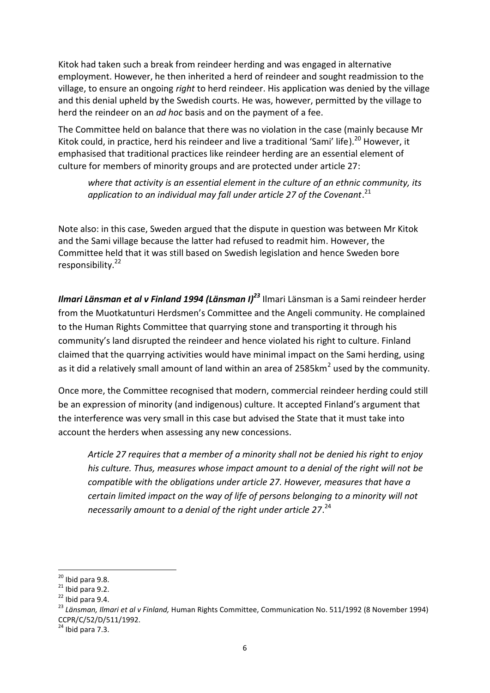Kitok had taken such a break from reindeer herding and was engaged in alternative employment. However, he then inherited a herd of reindeer and sought readmission to the village, to ensure an ongoing *right* to herd reindeer. His application was denied by the village and this denial upheld by the Swedish courts. He was, however, permitted by the village to herd the reindeer on an *ad hoc* basis and on the payment of a fee.

The Committee held on balance that there was no violation in the case (mainly because Mr Kitok could, in practice, herd his reindeer and live a traditional 'Sami' life).<sup>20</sup> However, it emphasised that traditional practices like reindeer herding are an essential element of culture for members of minority groups and are protected under article 27:

*where that activity is an essential element in the culture of an ethnic community, its* application to an individual may fall under article 27 of the Covenant.<sup>21</sup>

Note also: in this case, Sweden argued that the dispute in question was between Mr Kitok and the Sami village because the latter had refused to readmit him. However, the Committee held that it was still based on Swedish legislation and hence Sweden bore responsibility.<sup>22</sup>

*Ilmari Länsman et al v Finland 1994 (Länsman I)<sup>23</sup>* Ilmari Länsman is a Sami reindeer herder from the Muotkatunturi Herdsmen's Committee and the Angeli community. He complained to the Human Rights Committee that quarrying stone and transporting it through his community's land disrupted the reindeer and hence violated his right to culture. Finland claimed that the quarrying activities would have minimal impact on the Sami herding, using as it did a relatively small amount of land within an area of 2585 $km^2$  used by the community.

Once more, the Committee recognised that modern, commercial reindeer herding could still be an expression of minority (and indigenous) culture. It accepted Finland's argument that the interference was very small in this case but advised the State that it must take into account the herders when assessing any new concessions.

*Article 27 requires that a member of a minority shall not be denied his right to enjoy his culture. Thus, measures whose impact amount to a denial of the right will not be compatible with the obligations under article 27. However, measures that have a certain limited impact on the way of life of persons belonging to a minority will not* necessarily amount to a denial of the right under article 27.<sup>24</sup>

<sup>&</sup>lt;sup>20</sup> Ibid para 9.8.<br><sup>21</sup> Ibid para 9.2.<br><sup>22</sup> Ibid para 9.4.<br><sup>23</sup> *Länsman, Ilmari et al v Finland,* Human Rights Committee, Communication No. 511/1992 (8 November 1994) CCPR/C/52/D/511/1992.<br><sup>24</sup> Ibid para 7.3.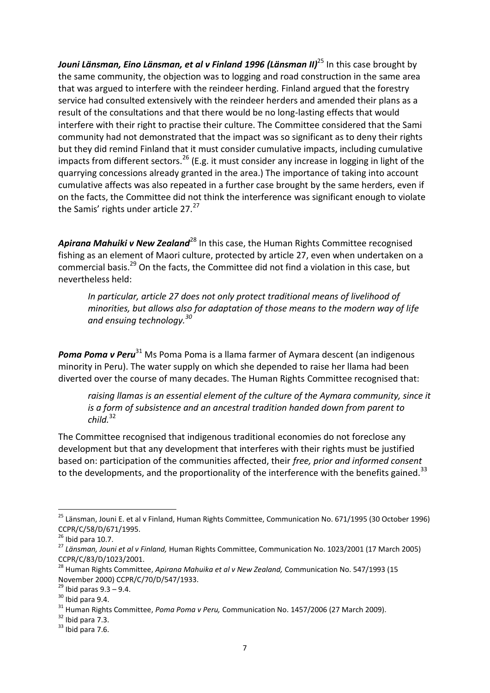*Jouni Länsman, Eino Länsman, et al v Finland 1996 (Länsman II)*<sup>25</sup> In this case brought by the same community, the objection was to logging and road construction in the same area that was argued to interfere with the reindeer herding. Finland argued that the forestry service had consulted extensively with the reindeer herders and amended their plans as a result of the consultations and that there would be no long-lasting effects that would interfere with their right to practise their culture. The Committee considered that the Sami community had not demonstrated that the impact was so significant as to deny their rights but they did remind Finland that it must consider cumulative impacts, including cumulative impacts from different sectors.<sup>26</sup> (E.g. it must consider any increase in logging in light of the quarrying concessions already granted in the area.) The importance of taking into account cumulative affects was also repeated in a further case brought by the same herders, even if on the facts, the Committee did not think the interference was significant enough to violate the Samis' rights under article  $27.^{27}$ 

Apirana Mahuiki v New Zealand<sup>28</sup> In this case, the Human Rights Committee recognised fishing as an element of Maori culture, protected by article 27, even when undertaken on a commercial basis.<sup>29</sup> On the facts, the Committee did not find a violation in this case, but nevertheless held:

*In particular, article 27 does not only protect traditional means of livelihood of minorities, but allows also for adaptation of those means to the modern way of life and ensuing technology.<sup>30</sup>*

**Poma Poma v Peru**<sup>31</sup> Ms Poma Poma is a llama farmer of Aymara descent (an indigenous minority in Peru). The water supply on which she depended to raise her llama had been diverted over the course of many decades. The Human Rights Committee recognised that:

*raising llamas is an essential element of the culture of the Aymara community, since it is a form of subsistence and an ancestral tradition handed down from parent to child.*<sup>32</sup>

The Committee recognised that indigenous traditional economies do not foreclose any development but that any development that interferes with their rights must be justified based on: participation of the communities affected, their *free, prior and informed consent* to the developments, and the proportionality of the interference with the benefits gained.<sup>33</sup>

<sup>&</sup>lt;sup>25</sup> Länsman, Jouni E. et al v Finland, Human Rights Committee, Communication No. 671/1995 (30 October 1996)

CCPR/C/58/D/671/1995.<br><sup>26</sup> Ibid para 10.7.<br><sup>27</sup> Länsman, Jouni et al v Finland, Human Rights Committee, Communication No. 1023/2001 (17 March 2005) CCPR/C/83/D/1023/2001.<br><sup>28</sup> Human Rights Committee, *Apirana Mahuika et al v New Zealand,* Communication No. 547/1993 (15

November 2000) CCPR/C/70/D/547/1933.<br><sup>29</sup> Ibid paras 9.3 – 9.4.<br><sup>30</sup> Ibid para 9.4.<br><sup>31</sup> Human Rights Committee, *Poma Poma v Peru,* Communication No. 1457/2006 (27 March 2009).<br><sup>32</sup> Ibid para 7.3.<br><sup>33</sup> Ibid para 7.6.